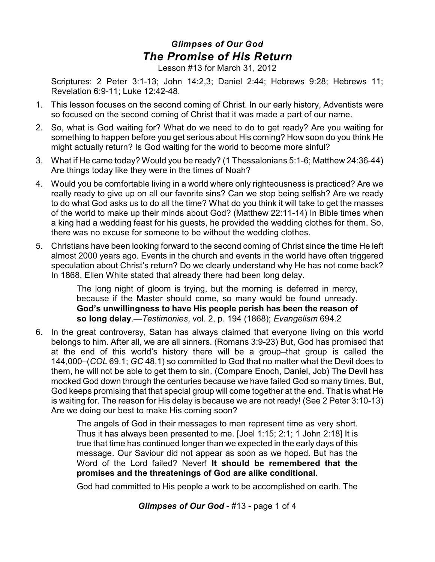## *Glimpses of Our God The Promise of His Return*

Lesson #13 for March 31, 2012

Scriptures: 2 Peter 3:1-13; John 14:2,3; Daniel 2:44; Hebrews 9:28; Hebrews 11; Revelation 6:9-11; Luke 12:42-48.

- 1. This lesson focuses on the second coming of Christ. In our early history, Adventists were so focused on the second coming of Christ that it was made a part of our name.
- 2. So, what is God waiting for? What do we need to do to get ready? Are you waiting for something to happen before you get serious about His coming? How soon do you think He might actually return? Is God waiting for the world to become more sinful?
- 3. What if He came today? Would you be ready? (1 Thessalonians 5:1-6; Matthew 24:36-44) Are things today like they were in the times of Noah?
- 4. Would you be comfortable living in a world where only righteousness is practiced? Are we really ready to give up on all our favorite sins? Can we stop being selfish? Are we ready to do what God asks us to do all the time? What do you think it will take to get the masses of the world to make up their minds about God? (Matthew 22:11-14) In Bible times when a king had a wedding feast for his guests, he provided the wedding clothes for them. So, there was no excuse for someone to be without the wedding clothes.
- 5. Christians have been looking forward to the second coming of Christ since the time He left almost 2000 years ago. Events in the church and events in the world have often triggered speculation about Christ's return? Do we clearly understand why He has not come back? In 1868, Ellen White stated that already there had been long delay.

The long night of gloom is trying, but the morning is deferred in mercy, because if the Master should come, so many would be found unready. **God's unwillingness to have His people perish has been the reason of so long delay**.—*Testimonies*, vol. 2, p. 194 (1868); *Evangelism* 694.2

6. In the great controversy, Satan has always claimed that everyone living on this world belongs to him. After all, we are all sinners. (Romans 3:9-23) But, God has promised that at the end of this world's history there will be a group–that group is called the 144,000–(*COL* 69.1; *GC* 48.1) so committed to God that no matter what the Devil does to them, he will not be able to get them to sin. (Compare Enoch, Daniel, Job) The Devil has mocked God down through the centuries because we have failed God so many times. But, God keeps promising that that special group will come together at the end. That is what He is waiting for. The reason for His delay is because we are not ready! (See 2 Peter 3:10-13) Are we doing our best to make His coming soon?

> The angels of God in their messages to men represent time as very short. Thus it has always been presented to me. [Joel 1:15; 2:1; 1 John 2:18] It is true that time has continued longer than we expected in the early days of this message. Our Saviour did not appear as soon as we hoped. But has the Word of the Lord failed? Never! **It should be remembered that the promises and the threatenings of God are alike conditional.**

> God had committed to His people a work to be accomplished on earth. The

## *Glimpses of Our God* - #13 - page 1 of 4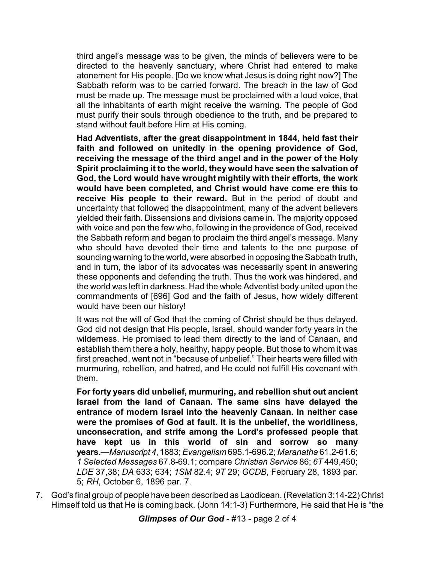third angel's message was to be given, the minds of believers were to be directed to the heavenly sanctuary, where Christ had entered to make atonement for His people. [Do we know what Jesus is doing right now?] The Sabbath reform was to be carried forward. The breach in the law of God must be made up. The message must be proclaimed with a loud voice, that all the inhabitants of earth might receive the warning. The people of God must purify their souls through obedience to the truth, and be prepared to stand without fault before Him at His coming.

**Had Adventists, after the great disappointment in 1844, held fast their faith and followed on unitedly in the opening providence of God, receiving the message of the third angel and in the power of the Holy Spirit proclaiming it to the world, they would have seen the salvation of God, the Lord would have wrought mightily with their efforts, the work would have been completed, and Christ would have come ere this to receive His people to their reward.** But in the period of doubt and uncertainty that followed the disappointment, many of the advent believers yielded their faith. Dissensions and divisions came in. The majority opposed with voice and pen the few who, following in the providence of God, received the Sabbath reform and began to proclaim the third angel's message. Many who should have devoted their time and talents to the one purpose of sounding warning to the world, were absorbed in opposing the Sabbath truth, and in turn, the labor of its advocates was necessarily spent in answering these opponents and defending the truth. Thus the work was hindered, and the world was left in darkness. Had the whole Adventist body united upon the commandments of [696] God and the faith of Jesus, how widely different would have been our history!

It was not the will of God that the coming of Christ should be thus delayed. God did not design that His people, Israel, should wander forty years in the wilderness. He promised to lead them directly to the land of Canaan, and establish them there a holy, healthy, happy people. But those to whom it was first preached, went not in "because of unbelief." Their hearts were filled with murmuring, rebellion, and hatred, and He could not fulfill His covenant with them.

**For forty years did unbelief, murmuring, and rebellion shut out ancient Israel from the land of Canaan. The same sins have delayed the entrance of modern Israel into the heavenly Canaan. In neither case were the promises of God at fault. It is the unbelief, the worldliness, unconsecration, and strife among the Lord's professed people that have kept us in this world of sin and sorrow so many years.**—*Manuscript 4*, 1883; *Evangelism* 695.1-696.2; *Maranatha* 61.2-61.6; *1 Selected Messages* 67.8-69.1; compare *Christian Service* 86; *6T* 449,450; *LDE* 37,38; *DA* 633; 634; *1SM* 82.4; *9T* 29; *GCDB*, February 28, 1893 par. 5; *RH*, October 6, 1896 par. 7.

7. God's final group of people have been described as Laodicean. (Revelation 3:14-22) Christ Himself told us that He is coming back. (John 14:1-3) Furthermore, He said that He is "the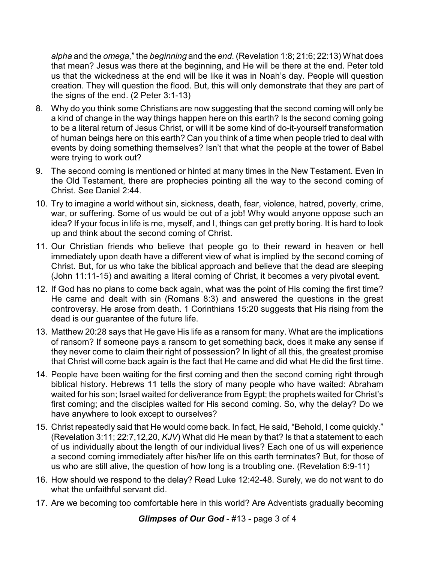*alpha* and the *omega,*" the *beginning* and the *end.* (Revelation 1:8; 21:6; 22:13) What does that mean? Jesus was there at the beginning, and He will be there at the end. Peter told us that the wickedness at the end will be like it was in Noah's day. People will question creation. They will question the flood. But, this will only demonstrate that they are part of the signs of the end. (2 Peter 3:1-13)

- 8. Why do you think some Christians are now suggesting that the second coming will only be a kind of change in the way things happen here on this earth? Is the second coming going to be a literal return of Jesus Christ, or will it be some kind of do-it-yourself transformation of human beings here on this earth? Can you think of a time when people tried to deal with events by doing something themselves? Isn't that what the people at the tower of Babel were trying to work out?
- 9. The second coming is mentioned or hinted at many times in the New Testament. Even in the Old Testament, there are prophecies pointing all the way to the second coming of Christ. See Daniel 2:44.
- 10. Try to imagine a world without sin, sickness, death, fear, violence, hatred, poverty, crime, war, or suffering. Some of us would be out of a job! Why would anyone oppose such an idea? If your focus in life is me, myself, and I, things can get pretty boring. It is hard to look up and think about the second coming of Christ.
- 11. Our Christian friends who believe that people go to their reward in heaven or hell immediately upon death have a different view of what is implied by the second coming of Christ. But, for us who take the biblical approach and believe that the dead are sleeping (John 11:11-15) and awaiting a literal coming of Christ, it becomes a very pivotal event.
- 12. If God has no plans to come back again, what was the point of His coming the first time? He came and dealt with sin (Romans 8:3) and answered the questions in the great controversy. He arose from death. 1 Corinthians 15:20 suggests that His rising from the dead is our guarantee of the future life.
- 13. Matthew 20:28 says that He gave His life as a ransom for many. What are the implications of ransom? If someone pays a ransom to get something back, does it make any sense if they never come to claim their right of possession? In light of all this, the greatest promise that Christ will come back again is the fact that He came and did what He did the first time.
- 14. People have been waiting for the first coming and then the second coming right through biblical history. Hebrews 11 tells the story of many people who have waited: Abraham waited for his son; Israel waited for deliverance from Egypt; the prophets waited for Christ's first coming; and the disciples waited for His second coming. So, why the delay? Do we have anywhere to look except to ourselves?
- 15. Christ repeatedly said that He would come back. In fact, He said, "Behold, I come quickly." (Revelation 3:11; 22:7,12,20, *KJV*) What did He mean by that? Is that a statement to each of us individually about the length of our individual lives? Each one of us will experience a second coming immediately after his/her life on this earth terminates? But, for those of us who are still alive, the question of how long is a troubling one. (Revelation 6:9-11)
- 16. How should we respond to the delay? Read Luke 12:42-48. Surely, we do not want to do what the unfaithful servant did.
- 17. Are we becoming too comfortable here in this world? Are Adventists gradually becoming